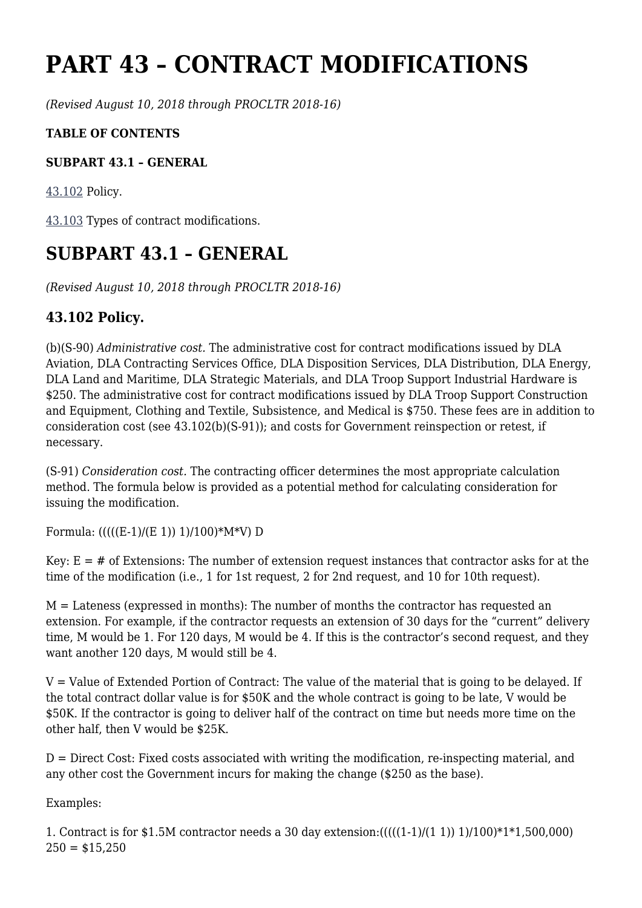# **PART 43 – CONTRACT MODIFICATIONS**

*(Revised August 10, 2018 through PROCLTR 2018-16)*

### **TABLE OF CONTENTS**

#### **SUBPART 43.1 – GENERAL**

[43.102](https://www.acquisition.gov/%5Brp:link:dlad-part-43%5D#P43_102) Policy.

[43.103](https://www.acquisition.gov/%5Brp:link:dlad-part-43%5D#P43_103) Types of contract modifications.

## **SUBPART 43.1 – GENERAL**

*(Revised August 10, 2018 through PROCLTR 2018-16)*

### **43.102 Policy.**

(b)(S-90) *Administrative cost.* The administrative cost for contract modifications issued by DLA Aviation, DLA Contracting Services Office, DLA Disposition Services, DLA Distribution, DLA Energy, DLA Land and Maritime, DLA Strategic Materials, and DLA Troop Support Industrial Hardware is \$250. The administrative cost for contract modifications issued by DLA Troop Support Construction and Equipment, Clothing and Textile, Subsistence, and Medical is \$750. These fees are in addition to consideration cost (see 43.102(b)(S-91)); and costs for Government reinspection or retest, if necessary.

(S-91) *Consideration cost.* The contracting officer determines the most appropriate calculation method. The formula below is provided as a potential method for calculating consideration for issuing the modification.

Formula:  $(((E-1)/(E 1)) 1)/100$ <sup>\*</sup>M<sup>\*</sup>V) D

Key:  $E = #$  of Extensions: The number of extension request instances that contractor asks for at the time of the modification (i.e., 1 for 1st request, 2 for 2nd request, and 10 for 10th request).

M = Lateness (expressed in months): The number of months the contractor has requested an extension. For example, if the contractor requests an extension of 30 days for the "current" delivery time, M would be 1. For 120 days, M would be 4. If this is the contractor's second request, and they want another 120 days, M would still be 4.

 $V =$  Value of Extended Portion of Contract: The value of the material that is going to be delayed. If the total contract dollar value is for \$50K and the whole contract is going to be late, V would be \$50K. If the contractor is going to deliver half of the contract on time but needs more time on the other half, then V would be \$25K.

 $D =$  Direct Cost: Fixed costs associated with writing the modification, re-inspecting material, and any other cost the Government incurs for making the change (\$250 as the base).

Examples:

1. Contract is for \$1.5M contractor needs a 30 day extension:(((((1-1)/(1 1)) 1)/100)\*1\*1,500,000)  $250 = $15,250$